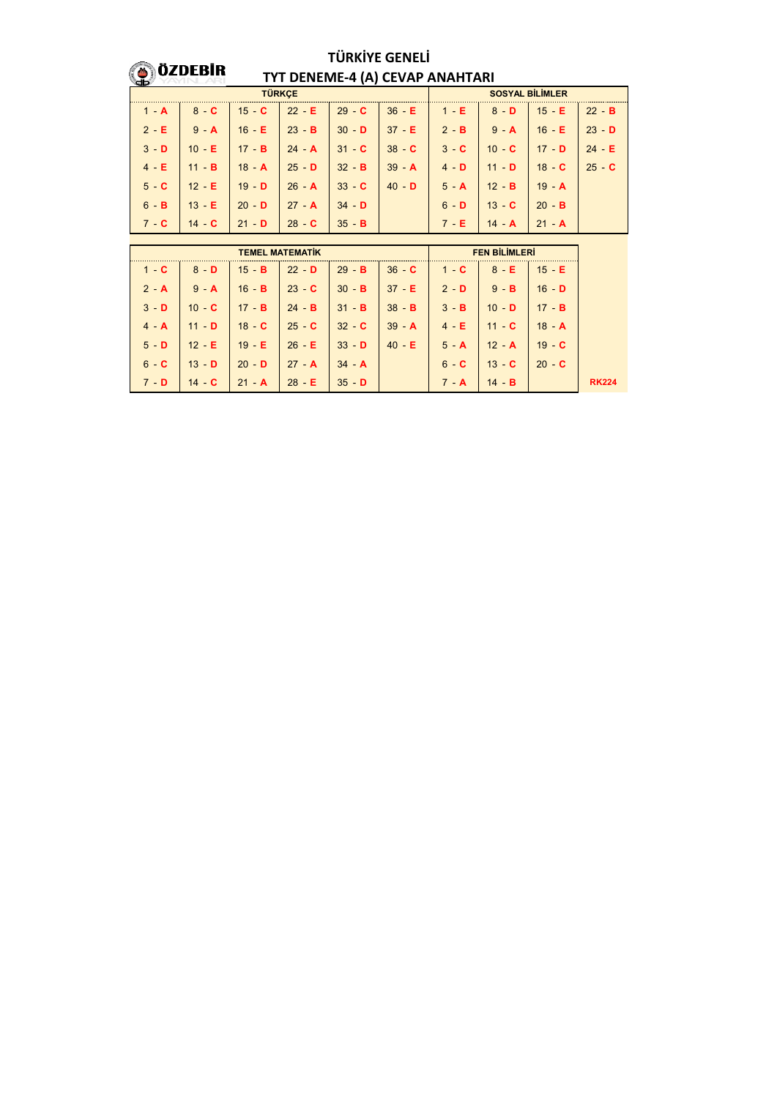## **O**ÖZDEBIR

## **TÜRKİYE GENELİ TYT DENEME-4 (A) CEVAP ANAHTARI**

| <b>TÜRKCE</b> |                         |              |                                                                                   |                      |                | <b>SOSYAL BİLİMLER</b> |                                  |                                        |          |  |  |
|---------------|-------------------------|--------------|-----------------------------------------------------------------------------------|----------------------|----------------|------------------------|----------------------------------|----------------------------------------|----------|--|--|
| $1 - A$       | $8 - C$                 | $15$ C       | $\vert$ 22 - E $\vert$ 29 - C                                                     |                      | 36 E           | 1 E                    | $8 - D$                          | $15$ E                                 | $22$ B   |  |  |
| $2 - E$       | $9 - A$                 | 16 E         | $\begin{array}{ c c c c c c c c } \hline & 23 & B & 30 & D \\ \hline \end{array}$ |                      | 37 E 2 B       |                        | $9 - A$                          | 16 E                                   | $23$ D   |  |  |
| $3 - D$       | $10 - E$                | 17B          | $\parallel$ 24 <b>A</b> $\parallel$ 31 <b>C</b>                                   |                      | $38$ C         | $3 - C$                | 10 $C$ 17 $D$                    |                                        | $24$ $E$ |  |  |
| $4 - E$       | $11 \cdot B$            | 18A          | $\vert$ 25 <b>D</b> 32 <b>B</b>                                                   |                      | $39 \text{ A}$ | $4 - D$                | 11 <b>D</b> 18 <b>C</b>          |                                        | $25 - C$ |  |  |
| $5 - C$       | $12$ E                  | $\vert$ 19 D | $\begin{array}{ c c c }\n\hline\n& 26 & A\n\end{array}$                           | $\vert$ 33 $\vert$ C | $40 - D$       | $5 - A$                | $12$ <b>B</b> $19$ <b>A</b>      |                                        |          |  |  |
| $6 - B$       | $13 - E$                | $20$ D       | $\sqrt{27}$ A                                                                     | $\vert$ 34 - D       |                | $6 - D$                | $13$ <b>C</b> $\mid$ 20 <b>B</b> |                                        |          |  |  |
| $7 - C$       | 14 <b>C</b> 21 <b>D</b> |              |                                                                                   | $35$ B               |                | 7 - E                  | $14$ $\mathbf{A}$                | $\begin{bmatrix} 21 & A \end{bmatrix}$ |          |  |  |

| <b>TEMEL MATEMATIK</b> |                  |                    |                                                           |                                         |                          | <b>FEN BILIMLERI</b> |                 |              |  |
|------------------------|------------------|--------------------|-----------------------------------------------------------|-----------------------------------------|--------------------------|----------------------|-----------------|--------------|--|
| $1 - C$                | $8 - D$          | $15$ B             | $\vert 22 - D \vert$                                      |                                         |                          |                      | $8 - E$         | $15$ E       |  |
| $2 - A$                | $9 - A$          | $16 - B$           | $\begin{array}{ccc} \n\text{23} & \text{C} \n\end{array}$ | $\parallel$ 30 $\parallel$ B            | $37$ E $2$ D $\parallel$ |                      | $9 - B$         | $16 - D$     |  |
| $3 - D$                | 10 <sub>CI</sub> | $\parallel$ 17 - B | $24 - B$                                                  | $\vert$ 31 B                            | 38 <b>B</b> 3 <b>B</b>   |                      | $10 - D$        | $17 \cdot B$ |  |
| $4 - A$                | 11 <sub>D</sub>  | $18$ $\sim$ C      | $\vert$ 25 - C                                            | $\begin{array}{ccc} 32 & C \end{array}$ | $39 \text{ A}$           | $4 - E$              | 11 <sub>C</sub> | $18 - A$     |  |
| $5 - D$                | $12$ E           | 19 E   26 E        |                                                           | $33$ D                                  | $40$ E                   | $5 - A$              | $12 \cdot A$    | $19$ C       |  |
| $6 - C$                | $13$ D           | $20 - D$           | $27 \cdot A$                                              | $\vert$ 34 <b>A</b>                     |                          | $6 - C$              | $13$ $\cdot$ C  | $20 - C$     |  |
| $7 - D$                | $14$ C           |                    | $28$ E                                                    | $35 - D$                                |                          | $7 - A$              | $14$ B          |              |  |